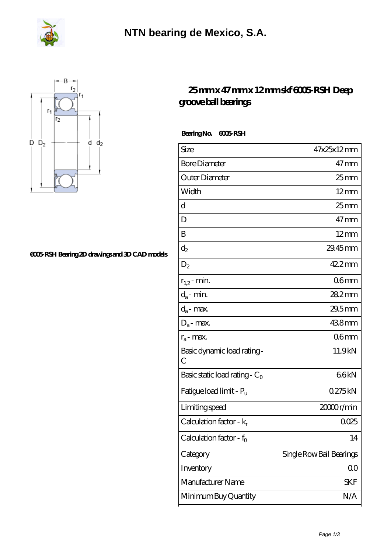



## **[6005-RSH Bearing 2D drawings and 3D CAD models](https://m.fergusonheatncool.com/pic-64966407.html)**

## **[25 mm x 47 mm x 12 mm skf 6005-RSH Deep](https://m.fergusonheatncool.com/by-64966407-skf-6005-rsh-deep-groove-ball-bearings.html) [groove ball bearings](https://m.fergusonheatncool.com/by-64966407-skf-6005-rsh-deep-groove-ball-bearings.html)**

 **Bearing No. 6005-RSH**

| Size                                | 47x25x12mm               |
|-------------------------------------|--------------------------|
| <b>Bore Diameter</b>                | $47 \,\mathrm{mm}$       |
| Outer Diameter                      | 25 mm                    |
| Width                               | $12 \text{mm}$           |
| d                                   | $25 \text{mm}$           |
| D                                   | $47 \text{mm}$           |
| B                                   | $12 \text{mm}$           |
| $d_2$                               | 29.45mm                  |
| $D_2$                               | 42.2mm                   |
| $r_{1,2}$ - min.                    | 06mm                     |
| $d_a$ - min.                        | $282$ mm                 |
| $d_a$ - max.                        | $29.5$ mm                |
| $D_a$ - max.                        | 438mm                    |
| $r_a$ - max.                        | 06 <sub>mm</sub>         |
| Basic dynamic load rating -<br>C    | 11.9kN                   |
| Basic static load rating - $C_0$    | 66kN                     |
| Fatigue load limit - P <sub>u</sub> | 0275kN                   |
| Limiting speed                      | 20000r/min               |
| Calculation factor - $k_r$          | 0025                     |
| Calculation factor - $f_0$          | 14                       |
| Category                            | Single Row Ball Bearings |
| Inventory                           | QO                       |
| Manufacturer Name                   | SKF                      |
| Minimum Buy Quantity                | N/A                      |
|                                     |                          |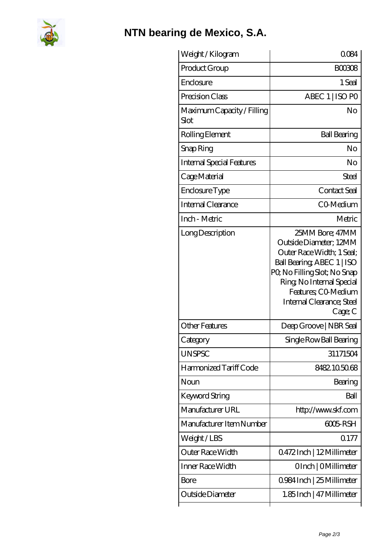

## **[NTN bearing de Mexico, S.A.](https://m.fergusonheatncool.com)**

| Weight /Kilogram                   | 0084                                                                                                                                                                                                                            |
|------------------------------------|---------------------------------------------------------------------------------------------------------------------------------------------------------------------------------------------------------------------------------|
| Product Group                      | <b>BOO308</b>                                                                                                                                                                                                                   |
| Enclosure                          | 1 Seal                                                                                                                                                                                                                          |
| Precision Class                    | ABEC 1   ISO PO                                                                                                                                                                                                                 |
| Maximum Capacity / Filling<br>Slot | No                                                                                                                                                                                                                              |
| Rolling Element                    | <b>Ball Bearing</b>                                                                                                                                                                                                             |
| Snap Ring                          | No                                                                                                                                                                                                                              |
| <b>Internal Special Features</b>   | No                                                                                                                                                                                                                              |
| Cage Material                      | Steel                                                                                                                                                                                                                           |
| Enclosure Type                     | Contact Seal                                                                                                                                                                                                                    |
| Internal Clearance                 | CO-Medium                                                                                                                                                                                                                       |
| Inch - Metric                      | Metric                                                                                                                                                                                                                          |
| Long Description                   | 25MM Bore; 47MM<br>Outside Diameter; 12MM<br>Outer Race Width; 1 Seal;<br>Ball Bearing, ABEC 1   ISO<br>PQ No Filling Slot; No Snap<br>Ring, No Internal Special<br>Features; CO Medium<br>Internal Clearance; Steel<br>Cage; C |
| <b>Other Features</b>              | Deep Groove   NBR Seal                                                                                                                                                                                                          |
| Category                           | Single Row Ball Bearing                                                                                                                                                                                                         |
| <b>UNSPSC</b>                      | 31171504                                                                                                                                                                                                                        |
| Harmonized Tariff Code             | 8482.105068                                                                                                                                                                                                                     |
| Noun                               | Bearing                                                                                                                                                                                                                         |
| Keyword String                     | Ball                                                                                                                                                                                                                            |
| Manufacturer URL                   | http://www.skf.com                                                                                                                                                                                                              |
| Manufacturer Item Number           | 6005 RSH                                                                                                                                                                                                                        |
| Weight/LBS                         | 0.177                                                                                                                                                                                                                           |
| Outer Race Width                   | 0472Inch   12Millimeter                                                                                                                                                                                                         |
| Inner Race Width                   | OInch   OMillimeter                                                                                                                                                                                                             |
| <b>Bore</b>                        | 0.984 Inch   25 Millimeter                                                                                                                                                                                                      |
| Outside Diameter                   | 1.85Inch   47 Millimeter                                                                                                                                                                                                        |
|                                    |                                                                                                                                                                                                                                 |